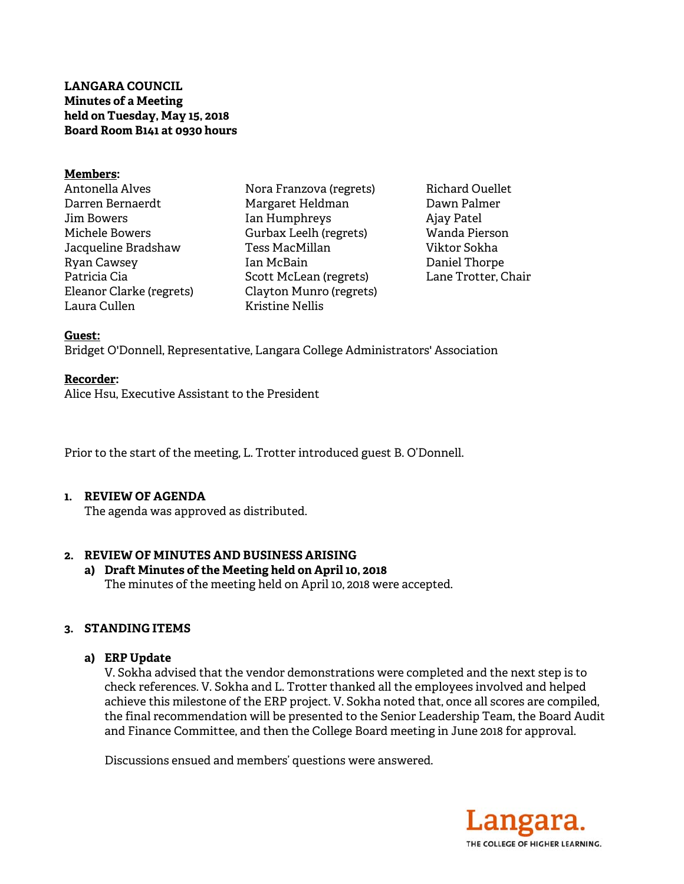**LANGARA COUNCIL Minutes of a Meeting held on Tuesday, May 15, 2018 Board Room B141 at 0930 hours** 

#### **Members:**

Antonella Alves Darren Bernaerdt Jim Bowers Michele Bowers Jacqueline Bradshaw Ryan Cawsey Patricia Cia Eleanor Clarke (regrets) Laura Cullen

Nora Franzova (regrets) Margaret Heldman Ian Humphreys Gurbax Leelh (regrets) Tess MacMillan Ian McBain Scott McLean (regrets) Clayton Munro (regrets) Kristine Nellis

Richard Ouellet Dawn Palmer Ajay Patel Wanda Pierson Viktor Sokha Daniel Thorpe Lane Trotter, Chair

#### **Guest:**

Bridget O'Donnell, Representative, Langara College Administrators' Association

#### **Recorder:**

Alice Hsu, Executive Assistant to the President

Prior to the start of the meeting, L. Trotter introduced guest B. O'Donnell.

## **1. REVIEW OF AGENDA**

The agenda was approved as distributed.

## **2. REVIEW OF MINUTES AND BUSINESS ARISING**

**a) Draft Minutes of the Meeting held on April 10, 2018** 

The minutes of the meeting held on April 10, 2018 were accepted.

## **3. STANDING ITEMS**

## **a) ERP Update**

V. Sokha advised that the vendor demonstrations were completed and the next step is to check references. V. Sokha and L. Trotter thanked all the employees involved and helped achieve this milestone of the ERP project. V. Sokha noted that, once all scores are compiled, the final recommendation will be presented to the Senior Leadership Team, the Board Audit and Finance Committee, and then the College Board meeting in June 2018 for approval.

Discussions ensued and members' questions were answered.